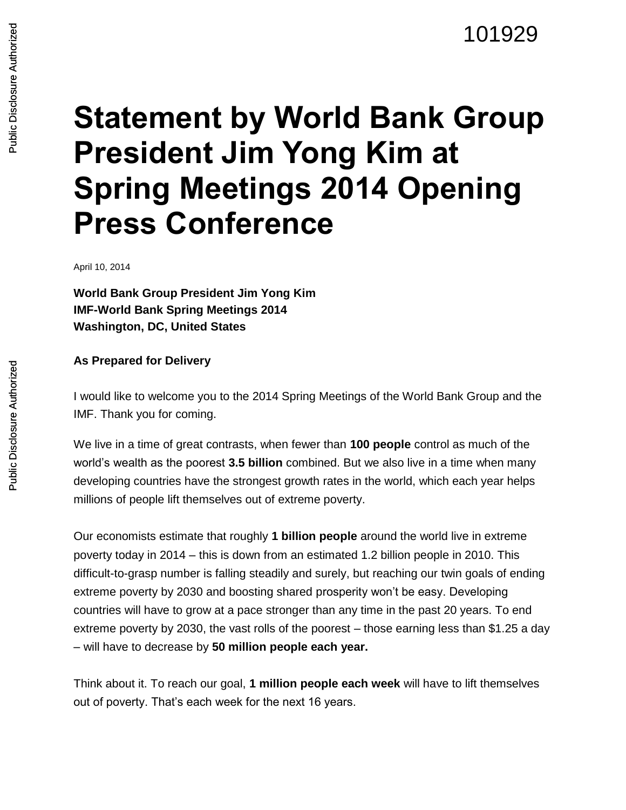## **Statement by World Bank Group President Jim Yong Kim at Spring Meetings 2014 Opening Press Conference**

April 10, 2014

**World Bank Group President Jim Yong Kim IMF-World Bank Spring Meetings 2014 Washington, DC, United States**

## **As Prepared for Delivery**

I would like to welcome you to the 2014 Spring Meetings of the World Bank Group and the IMF. Thank you for coming.

We live in a time of great contrasts, when fewer than **100 people** control as much of the world's wealth as the poorest **3.5 billion** combined. But we also live in a time when many developing countries have the strongest growth rates in the world, which each year helps millions of people lift themselves out of extreme poverty.

Our economists estimate that roughly **1 billion people** around the world live in extreme poverty today in 2014 – this is down from an estimated 1.2 billion people in 2010. This difficult-to-grasp number is falling steadily and surely, but reaching our twin goals of ending extreme poverty by 2030 and boosting shared prosperity won't be easy. Developing countries will have to grow at a pace stronger than any time in the past 20 years. To end extreme poverty by 2030, the vast rolls of the poorest – those earning less than \$1.25 a day – will have to decrease by **50 million people each year.**

Think about it. To reach our goal, **1 million people each week** will have to lift themselves out of poverty. That's each week for the next 16 years.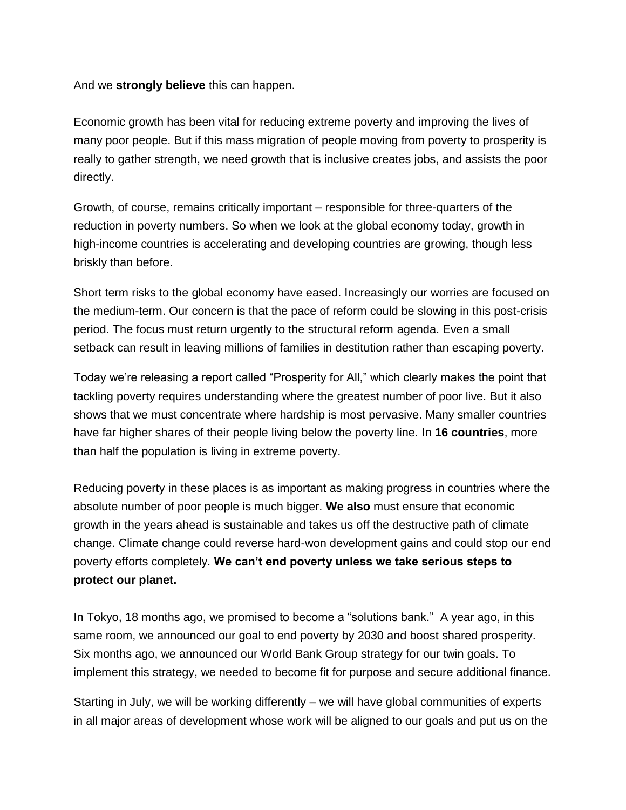And we **strongly believe** this can happen.

Economic growth has been vital for reducing extreme poverty and improving the lives of many poor people. But if this mass migration of people moving from poverty to prosperity is really to gather strength, we need growth that is inclusive creates jobs, and assists the poor directly.

Growth, of course, remains critically important – responsible for three-quarters of the reduction in poverty numbers. So when we look at the global economy today, growth in high-income countries is accelerating and developing countries are growing, though less briskly than before.

Short term risks to the global economy have eased. Increasingly our worries are focused on the medium-term. Our concern is that the pace of reform could be slowing in this post-crisis period. The focus must return urgently to the structural reform agenda. Even a small setback can result in leaving millions of families in destitution rather than escaping poverty.

Today we're releasing a report called "Prosperity for All," which clearly makes the point that tackling poverty requires understanding where the greatest number of poor live. But it also shows that we must concentrate where hardship is most pervasive. Many smaller countries have far higher shares of their people living below the poverty line. In **16 countries**, more than half the population is living in extreme poverty.

Reducing poverty in these places is as important as making progress in countries where the absolute number of poor people is much bigger. **We also** must ensure that economic growth in the years ahead is sustainable and takes us off the destructive path of climate change. Climate change could reverse hard-won development gains and could stop our end poverty efforts completely. **We can't end poverty unless we take serious steps to protect our planet.**

In Tokyo, 18 months ago, we promised to become a "solutions bank." A year ago, in this same room, we announced our goal to end poverty by 2030 and boost shared prosperity. Six months ago, we announced our World Bank Group strategy for our twin goals. To implement this strategy, we needed to become fit for purpose and secure additional finance.

Starting in July, we will be working differently – we will have global communities of experts in all major areas of development whose work will be aligned to our goals and put us on the